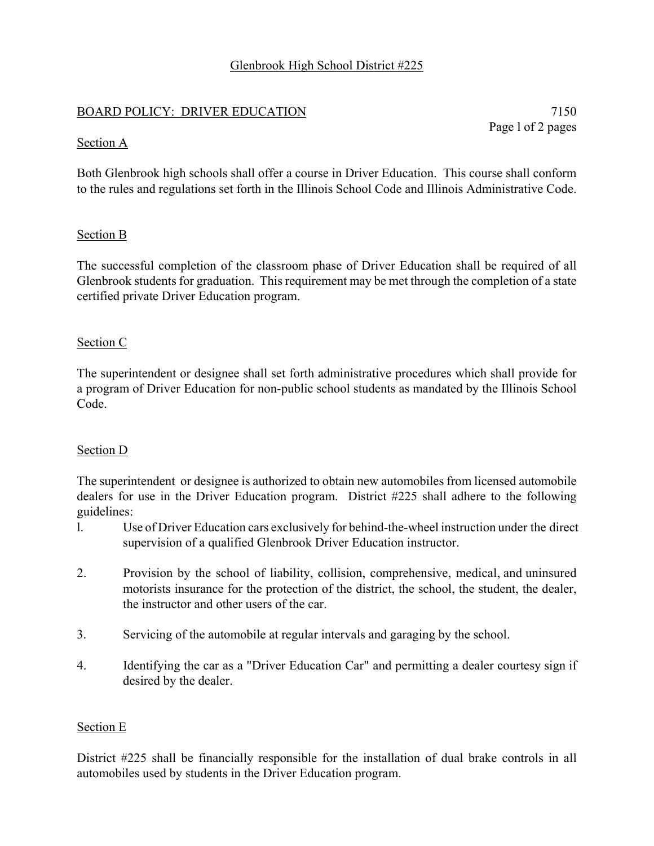# Glenbrook High School District #225

## BOARD POLICY: DRIVER EDUCATION 7150

Page l of 2 pages

### Section A

Both Glenbrook high schools shall offer a course in Driver Education. This course shall conform to the rules and regulations set forth in the Illinois School Code and Illinois Administrative Code.

## Section B

The successful completion of the classroom phase of Driver Education shall be required of all Glenbrook students for graduation. This requirement may be met through the completion of a state certified private Driver Education program.

## Section C

The superintendent or designee shall set forth administrative procedures which shall provide for a program of Driver Education for non-public school students as mandated by the Illinois School Code.

## Section D

The superintendent or designee is authorized to obtain new automobiles from licensed automobile dealers for use in the Driver Education program. District #225 shall adhere to the following guidelines:

- l. Use of Driver Education cars exclusively for behind-the-wheel instruction under the direct supervision of a qualified Glenbrook Driver Education instructor.
- 2. Provision by the school of liability, collision, comprehensive, medical, and uninsured motorists insurance for the protection of the district, the school, the student, the dealer, the instructor and other users of the car.
- 3. Servicing of the automobile at regular intervals and garaging by the school.
- 4. Identifying the car as a "Driver Education Car" and permitting a dealer courtesy sign if desired by the dealer.

#### Section E

District #225 shall be financially responsible for the installation of dual brake controls in all automobiles used by students in the Driver Education program.